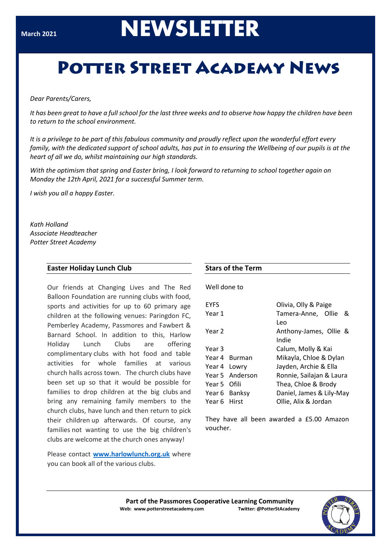# **NEWSLETTER**

# **POTTER STREET ACADEMY NEWS**

#### *Dear Parents/Carers,*

It has been areat to have a full school for the last three weeks and to observe how happy the children have been *to return to the school environment.*

*It is a privilege to be part of this fabulous community and proudly reflect upon the wonderful effort every family, with the dedicated support of school adults, has put in to ensuring the Wellbeing of our pupils is at the heart of all we do, whilst maintaining our high standards.*

*With the optimism that spring and Easter bring, I look forward to returning to school together again on Monday the 12th April, 2021 for a successful Summer term.*

*I wish you all a happy Easter.*

*Kath Holland Associate Headteacher Potter Street Academy*

# **Easter Holiday Lunch Club**

Our friends at Changing Lives and The Red Balloon Foundation are running clubs with food, sports and activities for up to 60 primary age children at the following venues: Paringdon FC, Pemberley Academy, Passmores and Fawbert & Barnard School. In addition to this, Harlow Holiday Lunch Clubs are offering complimentary clubs with hot food and table activities for whole families at various church halls across town. The church clubs have been set up so that it would be possible for families to drop children at the big clubs and bring any remaining family members to the church clubs, have lunch and then return to pick their children up afterwards. Of course, any families not wanting to use the big children's clubs are welcome at the church ones anyway!

Please contact **[www.harlowlunch.org.uk](http://www.harlowlunch.org.uk/)** where you can book all of the various clubs.

# **Stars of the Term**

Well done to

| <b>EYFS</b>  |                 | Olivia, Olly & Paige     |   |  |  |
|--------------|-----------------|--------------------------|---|--|--|
| Year 1       |                 | Tamera-Anne, Ollie       | & |  |  |
|              |                 | Leo                      |   |  |  |
| Year 2       |                 | Anthony-James, Ollie &   |   |  |  |
|              |                 | Indie                    |   |  |  |
| Year 3       |                 | Calum, Molly & Kai       |   |  |  |
|              | Year 4 Burman   | Mikayla, Chloe & Dylan   |   |  |  |
| Year 4 Lowry |                 | Jayden, Archie & Ella    |   |  |  |
|              | Year 5 Anderson | Ronnie, Sailajan & Laura |   |  |  |
| Year 5 Ofili |                 | Thea, Chloe & Brody      |   |  |  |
|              | Year 6 Banksy   | Daniel, James & Lily-May |   |  |  |
| Year 6 Hirst |                 | Ollie, Alix & Jordan     |   |  |  |

They have all been awarded a £5.00 Amazon voucher.

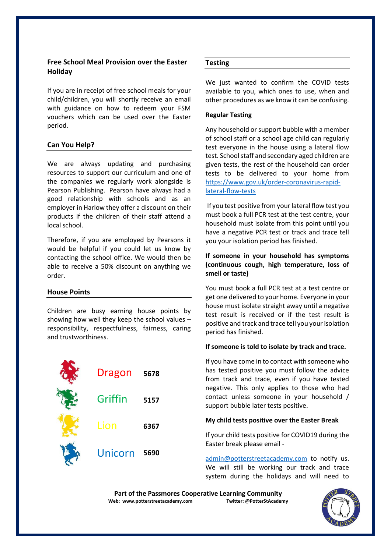# **Free School Meal Provision over the Easter Holiday**

If you are in receipt of free school meals for your child/children, you will shortly receive an email with guidance on how to redeem your FSM vouchers which can be used over the Easter period.

# **Can You Help?**

We are always updating and purchasing resources to support our curriculum and one of the companies we regularly work alongside is Pearson Publishing. Pearson have always had a good relationship with schools and as an employer in Harlow they offer a discount on their products if the children of their staff attend a local school.

Therefore, if you are employed by Pearsons it would be helpful if you could let us know by contacting the school office. We would then be able to receive a 50% discount on anything we order.

#### **House Points**

Children are busy earning house points by showing how well they keep the school values – responsibility, respectfulness, fairness, caring and trustworthiness.

| Dragon  | 5678 |
|---------|------|
| Griffin | 5157 |
| Lion    | 6367 |
| Unicorn | 5690 |

# **Testing**

We just wanted to confirm the COVID tests available to you, which ones to use, when and other procedures as we know it can be confusing.

#### **Regular Testing**

Any household or support bubble with a member of school staff or a school age child can regularly test everyone in the house using a lateral flow test. School staff and secondary aged children are given tests, the rest of the household can order tests to be delivered to your home from [https://www.gov.uk/order-coronavirus-rapid](https://www.gov.uk/order-coronavirus-rapid-lateral-flow-tests)[lateral-flow-tests](https://www.gov.uk/order-coronavirus-rapid-lateral-flow-tests)

If you test positive from your lateral flow test you must book a full PCR test at the test centre, your household must isolate from this point until you have a negative PCR test or track and trace tell you your isolation period has finished.

## **If someone in your household has symptoms (continuous cough, high temperature, loss of smell or taste)**

You must book a full PCR test at a test centre or get one delivered to your home. Everyone in your house must isolate straight away until a negative test result is received or if the test result is positive and track and trace tell you your isolation period has finished.

#### **If someone is told to isolate by track and trace.**

If you have come in to contact with someone who has tested positive you must follow the advice from track and trace, even if you have tested negative. This only applies to those who had contact unless someone in your household / support bubble later tests positive.

#### **My child tests positive over the Easter Break**

If your child tests positive for COVID19 during the Easter break please email -

[admin@potterstreetacademy.com](mailto:admin@potterstreetacademy.com) to notify us. We will still be working our track and trace system during the holidays and will need to

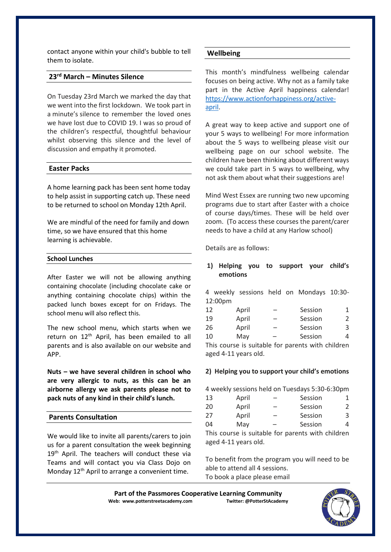contact anyone within your child's bubble to tell them to isolate.

# **23rd March – Minutes Silence**

On Tuesday 23rd March we marked the day that we went into the first lockdown. We took part in a minute's silence to remember the loved ones we have lost due to COVID 19. I was so proud of the children's respectful, thoughtful behaviour whilst observing this silence and the level of discussion and empathy it promoted.

#### **Easter Packs**

A home learning pack has been sent home today to help assist in supporting catch up. These need to be returned to school on Monday 12th April.

We are mindful of the need for family and down time, so we have ensured that this home learning is achievable.

#### **School Lunches**

After Easter we will not be allowing anything containing chocolate (including chocolate cake or anything containing chocolate chips) within the packed lunch boxes except for on Fridays. The school menu will also reflect this.

The new school menu, which starts when we return on 12<sup>th</sup> April, has been emailed to all parents and is also available on our website and APP.

**Nuts – we have several children in school who are very allergic to nuts, as this can be an airborne allergy we ask parents please not to pack nuts of any kind in their child's lunch.**

#### **Parents Consultation**

We would like to invite all parents/carers to join us for a parent consultation the week beginning 19<sup>th</sup> April. The teachers will conduct these via Teams and will contact you via Class Dojo on Monday  $12<sup>th</sup>$  April to arrange a convenient time.

#### **Wellbeing**

This month's mindfulness wellbeing calendar focuses on being active. Why not as a family take part in the Active April happiness calendar! [https://www.actionforhappiness.org/active](https://www.actionforhappiness.org/active-april)[april.](https://www.actionforhappiness.org/active-april)

A great way to keep active and support one of your 5 ways to wellbeing! For more information about the 5 ways to wellbeing please visit our wellbeing page on our school website. The children have been thinking about different ways we could take part in 5 ways to wellbeing, why not ask them about what their suggestions are!

Mind West Essex are running two new upcoming programs due to start after Easter with a choice of course days/times. These will be held over zoom. (To access these courses the parent/carer needs to have a child at any Harlow school)

Details are as follows:

### **1) Helping you to support your child's emotions**

4 weekly sessions held on Mondays 10:30- 12:00pm

| 12                                                | April | - | Session |   |  |  |
|---------------------------------------------------|-------|---|---------|---|--|--|
| 19                                                | April | - | Session | 2 |  |  |
| 26                                                | April | — | Session | 3 |  |  |
| 10                                                | May   | - | Session | 4 |  |  |
| This source is suitable for parents with shildren |       |   |         |   |  |  |

This course is suitable for parents with children aged 4-11 years old.

#### **2) Helping you to support your child's emotions**

4 weekly sessions held on Tuesdays 5:30-6:30pm

| 13                                                | April | -                        | Session |               |  |  |
|---------------------------------------------------|-------|--------------------------|---------|---------------|--|--|
| 20                                                | April |                          | Session | $\mathcal{L}$ |  |  |
| 27                                                | April | $\overline{\phantom{0}}$ | Session | 3             |  |  |
| 04                                                | May   | -                        | Session | 4             |  |  |
| This course is suitable for parents with children |       |                          |         |               |  |  |

aged 4-11 years old.

To benefit from the program you will need to be able to attend all 4 sessions. To book a place please email

Part of the Passmores Cooperative Learning Community<br>eb: www.potterstreetacademy.com **Twitter:** @PotterStAcademy **Web: www.potterstreetacademy.com**